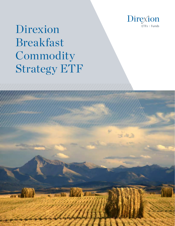

# Direxion Breakfast Commodity Strategy ETF

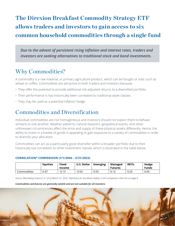## **The Direxion Breakfast Commodity Strategy ETF allows traders and investors to gain access to six common household commodities through a single fund**

*Due to the advent of persistent rising inflation and interest rates, traders and investors are seeking alternatives to traditional stock and bond investments.* 

### Why Commodities?

A commodity is a raw material, or primary agriculture product, which can be bought or sold, such as wheat or coffee. Commodities are attractive to both traders and investors because:

- They offer the potential to provide additional risk-adjusted returns to a diversified portfolio.
- Their performance is has historically been correlated to traditional asset classes.
- They may be used as a potential inflation hedge.

### Commodities and Diversification

Individual commodities are not homogeneous and investors should not expect them to behave similarly to one another. Weather patterns, natural disasters, geopolitical events, and other unforeseen circumstances affect the price and supply of these physical assets differently. Hence, the ability to invest in a basket of goods is appealing to gain exposure to a variety of commodities in order to diversify your allocation.

Commodities can act as a particularly good diversifier within a broader portfolio due to their historically low correlation to other investment classes, which is illustrated in the table below.

|             | <b>Equities</b> | <b>Fixed</b><br>Income | <b>U.S. Dollar</b> | <b>Emerging</b> | Managed<br><b>Futures</b> | <b>REITS</b> | <b>Hedge</b><br><b>Funds</b> |
|-------------|-----------------|------------------------|--------------------|-----------------|---------------------------|--------------|------------------------------|
| Commodities | 0.47            | $-0.13$                | $-0.54$            | 0.55            | <b>V.IZ</b>               | 0.25         | 0.65                         |

#### **CORRELATION\* COMPARISON (1/1/2004 – 3/31/2022)**

*Source: Bloomberg Finance L.P., as of March 31, 2022. Definitions for the above indexes in the comparison chart are on page 6.*

#### *Commodities and futures are generally volatile and are not suitable for all investors.*

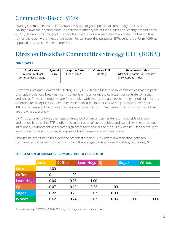### Commodity-Based ETFs

Owning commodities via an ETF allows investors, to get exposure to commodity returns without having to own the physical asset. In contrast to other types of funds, such as exchange-traded notes (ETNs), Direxion's commodity ETFs have less credit risk because they are not a debt obligation that rely on the credit worthiness of an issuer. For tax reporting purposes, ETFs generate a Form 1099, as opposed to a less convenient Form K-1.

### Direxion Breakfast Commodities Strategy ETF (BRKY)

#### **FUND FACTS**

| <b>Fund Name</b>     | Symbol      | <b>Inception Date</b> | <b>Contract Roll</b> | <b>Benchmark Index</b>          |
|----------------------|-------------|-----------------------|----------------------|---------------------------------|
| Direxion Breakfast   | <b>BRKY</b> | June 1, 2022          | Monthly              | S&P GSCI Dynamic Roll Breakfast |
| Commodities Strategy |             |                       |                      | (OJ 5% Capped) Index            |
| ETF                  |             |                       |                      |                                 |

Direxion's Breakfast Commodity Strategy ETF (BRKY) trades futures of six commodities that are part of a typical balanced breakfast: corn, coffee, lean hogs, orange juice frozen concentrate (OJ), sugar, and wheat. These commodities are food staples with steady demand, even during periods of inflation. According to the April 2022 Consumer Price Index (CPI), food prices were up 9.4% year over year. Although increasing food prices may be alarming to the consumer, it means returns on commodities are growing accordingly.

BRKY is designed to take advantage of rising food prices and generate returns outside of stocks and bonds. It is the first ETF to offer this combination of commodities, and we believe the persistent inflationary environment has created significant tailwinds for the fund. BRKY can be used tactically by investors and traders as a way to express a bullish view on commodity prices.

Through its exposure to high-demand breakfast staples, BRKY offers diversification between commodities packaged into one ETF. In fact, the average correlation among this group is only 0.12.

|                  | <b>Corn</b> | <b>Coffee</b> | <b>Lean Hogs OJ</b> |      | <b>Sugar</b> | <b>Wheat</b> |
|------------------|-------------|---------------|---------------------|------|--------------|--------------|
| <b>Corn</b>      | 1.00        |               |                     |      |              |              |
| <b>Coffee</b>    | 0.11        | 1.00          |                     |      |              |              |
| <b>Lean Hogs</b> | 0.06        | 0.06          | 1.00                |      |              |              |
| OJ               | $-0.07$     | 0.19          | $-0.22$             | 1.00 |              |              |
| <b>Sugar</b>     | 0.22        | 0.29          | 0.07                | 0.00 | 1.00         |              |
| Wheat            | 0.62        | 0.24          | 0.07                | 0.05 | 0.13         | 1.00         |

#### **CORRELATION OF BREAKFAST COMMODITIES TO EACH OTHER**

**commodity futures that is broadly diversified across the spectrum of commodities. The above listed commodities represent**  *Source: Bloomberg, 3/31/2012 – 3/31/2022, from generic 1st futures on a monthly basis*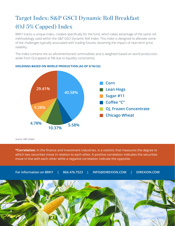# Target Index: S&P GSCI Dynamic Roll Breakfast (OJ 5% Capped) Index

BRKY tracks a unique index, created specifically for the fund, which takes advantage of the same roll methodology used within the S&P GSCI Dynamic Roll Index. This index is designed to alleviate some of the challenges typically associated with trading futures, lessening the impact of near-term price volatility.

The Index contains the six aforementioned commodities and is weighted based on world production, aside from OJ (capped at 5% due to liquidity constraints).



#### **HOLDINGS BASED ON WORLD PRODUCTION (AS OF 5/16/22)**

*Source: S&P Global*

**\*Correlation:** In the finance and investment industries, is a statistic that measures the degree to which two securities move in relation to each other. A positive correlation indicates the securities move in line with each other while a negative correlation indicate the opposite.

**For information on BRKY | 866.476.7523 | INFO@DIREXION.COM | DIREXION.COM**

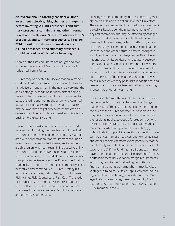**An investor should carefully consider a Fund's investment objective, risks, charges, and expenses before investing. A Fund's prospectus and summary prospectus contain this and other information about the Direxion Shares. To obtain a Fund's prospectus and summary prospectus call 866-301- 9214 or visit our website at www.direxion.com. A Fund's prospectus and summary prospectus should be read carefully before investing.**

Shares of the Direxion Shares are bought and sold at market price (not NAV) and are not individually redeemed from a Fund.

Futures may be affected by Backwardation: a market condition in which a futures price is lower in the distant delivery months than in the near delivery months and Contango: A condition in which distant delivery prices for futures exceeds spot prices, often due to costs of storing and inuring the underlying commodity. Opposite of backwardation, the Fund's total return may be lower than might otherwise be the case because it would be selling less expensive contracts and buying more expensive one.

Direxion Shares Risks - An investment in the Fund involves risk, including the possible loss of principal. The Fund is non-diversified and includes risks associated with concentration that results from the Fund's investments in a particular industry, sector, or geographic region which can result in increased volatility. The Fund's use of derivatives such as futures contracts and swaps are subject to market risks that may cause their price to fluctuate over time. Risks of the Fund include risks related to investments in commodity-linked derivatives and commodities, Futures Strategy Risk, Index Correlation Risk, Index Strategy Risk, Leverage Risk, Market Risk, Counterparty Risk, Cash Transaction Risk, Subsidiary Investment Risk, Interest Rate Risk, and Tax Risk. Please see the summary and full prospectuses for a more complete description of these and other risks of the Fund.

Exchange-traded commodity futures contracts generally are volatile and are not suitable for all investors. The value of a commodity-linked derivative investment typically is based upon the price movements of a physical commodity and may be affected by changes in overall market movements, volatility of the index, changes in interest rates, or factors affecting a particular industry or commodity, such as global pandemics, weather and other natural disasters, changes in supply and production, embargoes, tariffs and international economic, political and regulatory developments and changes in speculators' and/or investors' demand. Commodity-linked derivatives also may be subject to credit and interest rate risks that in general affect the value of debt securities. The Fund's investments in derivatives may pose risks in addition to, and greater than, those associated with directly investing in securities or other investments.

Risks associated with the use of futures contracts are (a) the imperfect correlation between the change in market value of the instruments held by the Fund and the price of the futures contract; (b) possible lack of a liquid secondary market for a futures contract and the resulting inability to close a futures contract when desired; (c) losses caused by unanticipated market movements, which are potentially unlimited; (d) the Index's inability to predict correctly the direction of securities prices, interest rates, currency exchange rates and other economic factors; (e) the possibility that the counterparty will default in the performance of its obligations; and (f) if the Fund has insufficient cash, it may have to sell securities or financial instruments from its portfolio to meet daily variation margin requirements, which may lead to the Fund selling securities or financial instruments at a time when it may be disadvantageous to do so .Auspice Capital Advisors Ltd. is a registered Portfolio Manager/Investment Fund Manager in Canada and a registered Commodity Trading Advisor (CTA/CPO) and National Futures Association (NFA) member in the US.